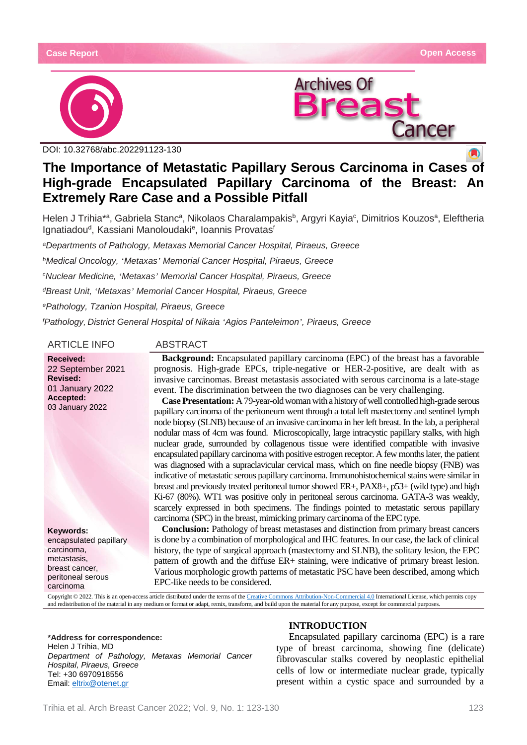



DOI: [10.32768/abc.202291123-130](http://dx.doi.org/10.32768/abc.202184267-276)

# **The Importance of Metastatic Papillary Serous Carcinoma in Cases of High-grade Encapsulated Papillary Carcinoma of the Breast: An Extremely Rare Case and a Possible Pitfall**

Helen J Trihia\*ª, Gabriela Stancª, Nikolaos Charalampakis<sup>b</sup>, Argyri Kayia<sup>c</sup>, Dimitrios Kouzosª, Eleftheria Ignatiadou<sup>d</sup>, Kassiani Manoloudaki<sup>e</sup>, Ioannis Provatas<sup>f</sup>

*aDepartments of Pathology, Metaxas Memorial Cancer Hospital, Piraeus, Greece bMedical Oncology, 'Metaxas' Memorial Cancer Hospital, Piraeus, Greece cNuclear Medicine, 'Metaxas' Memorial Cancer Hospital, Piraeus, Greece dBreast Unit, 'Metaxas' Memorial Cancer Hospital, Piraeus, Greece ePathology, Tzanion Hospital, Piraeus, Greece f Pathology, District General Hospital of Nikaia 'Agios Panteleimon', Piraeus, Greece*

## ARTICLE INFO ABSTRACT

**Received:** 22 September 2021 **Revised:** 01 January 2022 **Accepted:** 03 January 2022

**Keywords:** encapsulated papillary carcinoma, metastasis, breast cancer, peritoneal serous carcinoma

**Background:** Encapsulated papillary carcinoma (EPC) of the breast has a favorable prognosis. High-grade EPCs, triple-negative or HER-2-positive, are dealt with as invasive carcinomas. Breast metastasis associated with serous carcinoma is a late-stage event. The discrimination between the two diagnoses can be very challenging.

**Case Presentation:** A 79-year-old woman with a history of well controlled high-grade serous papillary carcinoma of the peritoneum went through a total left mastectomy and sentinel lymph node biopsy (SLNB) because of an invasive carcinoma in her left breast. In the lab, a peripheral nodular mass of 4cm was found. Microscopically, large intracystic papillary stalks, with high nuclear grade, surrounded by collagenous tissue were identified compatible with invasive encapsulated papillary carcinoma with positive estrogen receptor. A few months later, the patient was diagnosed with a supraclavicular cervical mass, which on fine needle biopsy (FNB) was indicative of metastatic serous papillary carcinoma. Immunohistochemical stains were similar in breast and previously treated peritoneal tumor showed ER+, PAX8+, p53+ (wild type) and high Ki-67 (80%). WT1 was positive only in peritoneal serous carcinoma. GATA-3 was weakly, scarcely expressed in both specimens. The findings pointed to metastatic serous papillary carcinoma (SPC) in the breast, mimicking primary carcinoma of the EPC type.

**Conclusion:** Pathology of breast metastases and distinction from primary breast cancers is done by a combination of morphological and IHC features. In our case, the lack of clinical history, the type of surgical approach (mastectomy and SLNB), the solitary lesion, the EPC pattern of growth and the diffuse ER+ staining, were indicative of primary breast lesion. Various morphologic growth patterns of metastatic PSC have been described, among which EPC-like needs to be considered.

Copyright © 2022. This is an open-access article distributed under the terms of th[e Creative Commons Attribution-Non-Commercial 4.0](https://creativecommons.org/licenses/by-nc/4.0/) International License, which permits copy and redistribution of the material in any medium or format or adapt, remix, transform, and build upon the material for any purpose, except for commercial purposes.

**\*Address for correspondence:** Helen J Trihia, MD *Department of Pathology, Metaxas Memorial Cancer Hospital, Piraeus, Greece* Tel: +30 6970918556 Email[: eltrix@otenet.gr](mailto:eltrix@otenet.gr)

# **INTRODUCTION**

Encapsulated papillary carcinoma (EPC) is a rare type of breast carcinoma, showing fine (delicate) fibrovascular stalks covered by neoplastic epithelial cells of low or intermediate nuclear grade, typically present within a cystic space and surrounded by a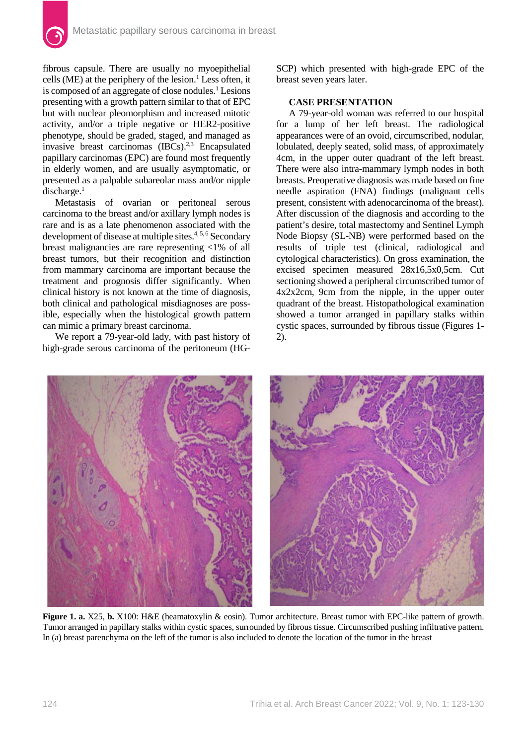fibrous capsule. There are usually no myoepithelial cells (ME) at the periphery of the lesion.<sup>1</sup> Less often, it is composed of an aggregate of close nodules.<sup>1</sup> Lesions presenting with a growth pattern similar to that of EPC but with nuclear pleomorphism and increased mitotic activity, and/or a triple negative or HER2-positive phenotype, should be graded, staged, and managed as invasive breast carcinomas (IBCs).<sup>2,3</sup> Encapsulated papillary carcinomas (EPC) are found most frequently in elderly women, and are usually asymptomatic, or presented as a palpable subareolar mass and/or nipple discharge.<sup>1</sup>

Metastasis of ovarian or peritoneal serous carcinoma to the breast and/or axillary lymph nodes is rare and is as a late phenomenon associated with the development of disease at multiple sites.<sup>4, 5, 6</sup> Secondary breast malignancies are rare representing <1% of all breast tumors, but their recognition and distinction from mammary carcinoma are important because the treatment and prognosis differ significantly. When clinical history is not known at the time of diagnosis, both clinical and pathological misdiagnoses are possible, especially when the histological growth pattern can mimic a primary breast carcinoma.

We report a 79-year-old lady, with past history of high-grade serous carcinoma of the peritoneum (HG- SCP) which presented with high-grade EPC of the breast seven years later.

# **CASE PRESENTATION**

A 79-year-old woman was referred to our hospital for a lump of her left breast. The radiological appearances were of an ovoid, circumscribed, nodular, lobulated, deeply seated, solid mass, of approximately 4cm, in the upper outer quadrant of the left breast. There were also intra-mammary lymph nodes in both breasts. Preoperative diagnosis was made based on fine needle aspiration (FNA) findings (malignant cells present, consistent with adenocarcinoma of the breast). After discussion of the diagnosis and according to the patient's desire, total mastectomy and Sentinel Lymph Node Biopsy (SL-NB) were performed based on the results of triple test (clinical, radiological and cytological characteristics). On gross examination, the excised specimen measured 28x16,5x0,5cm. Cut sectioning showed a peripheral circumscribed tumor of 4x2x2cm, 9cm from the nipple, in the upper outer quadrant of the breast. Histopathological examination showed a tumor arranged in papillary stalks within cystic spaces, surrounded by fibrous tissue (Figures 1- 2).



**Figure 1. a.** X25, **b.** X100: H&E (heamatoxylin & eosin). Tumor architecture. Breast tumor with EPC-like pattern of growth. Tumor arranged in papillary stalks within cystic spaces, surrounded by fibrous tissue. Circumscribed pushing infiltrative pattern. In (a) breast parenchyma on the left of the tumor is also included to denote the location of the tumor in the breast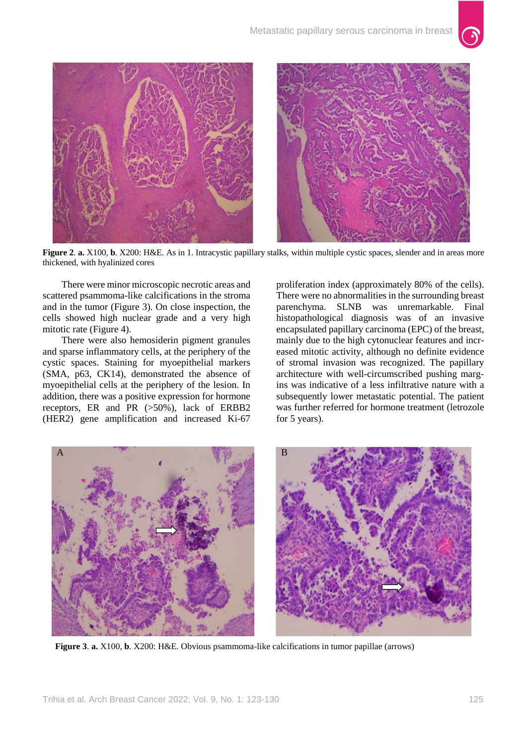

**Figure 2**. **a.** X100, **b**. X200: H&E. As in 1. Intracystic papillary stalks, within multiple cystic spaces, slender and in areas more thickened, with hyalinized cores

There were minor microscopic necrotic areas and scattered psammoma-like calcifications in the stroma and in the tumor (Figure 3). On close inspection, the cells showed high nuclear grade and a very high mitotic rate (Figure 4).

There were also hemosiderin pigment granules and sparse inflammatory cells, at the periphery of the cystic spaces. Staining for myoepithelial markers (SMA, p63, CK14), demonstrated the absence of myoepithelial cells at the periphery of the lesion. In addition, there was a positive expression for hormone receptors, ER and PR (>50%), lack of ERBB2 (HER2) gene amplification and increased Ki-67

proliferation index (approximately 80% of the cells). There were no abnormalities in the surrounding breast parenchyma. SLNB was unremarkable. Final histopathological diagnosis was of an invasive encapsulated papillary carcinoma (EPC) of the breast, mainly due to the high cytonuclear features and increased mitotic activity, although no definite evidence of stromal invasion was recognized. The papillary architecture with well-circumscribed pushing margins was indicative of a less infiltrative nature with a subsequently lower metastatic potential. The patient was further referred for hormone treatment (letrozole for 5 years).



**Figure 3**. **a.** X100, **b**. X200: H&E. Obvious psammoma-like calcifications in tumor papillae (arrows)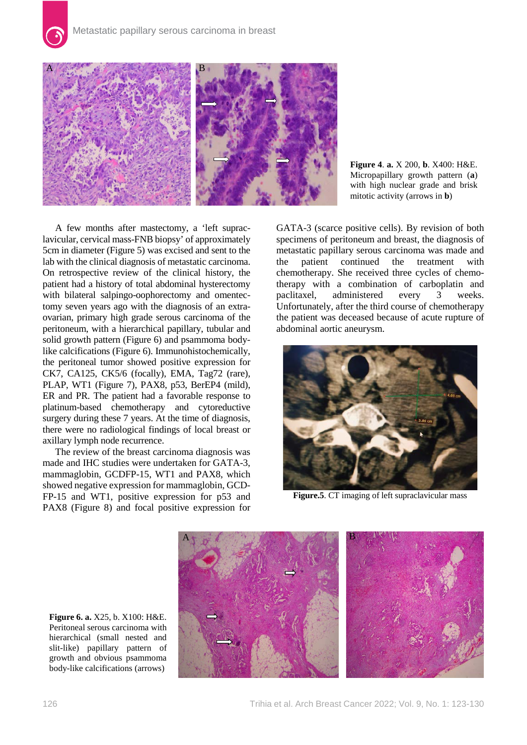

A few months after mastectomy, a 'left supraclavicular, cervical mass-FNB biopsy' of approximately 5cm in diameter (Figure 5) was excised and sent to the lab with the clinical diagnosis of metastatic carcinoma. On retrospective review of the clinical history, the patient had a history of total abdominal hysterectomy with bilateral salpingo-oophorectomy and omentectomy seven years ago with the diagnosis of an extraovarian, primary high grade serous carcinoma of the peritoneum, with a hierarchical papillary, tubular and solid growth pattern (Figure 6) and psammoma bodylike calcifications (Figure 6). Immunohistochemically, the peritoneal tumor showed positive expression for CK7, CA125, CK5/6 (focally), EMA, Tag72 (rare), PLAP, WT1 (Figure 7), PAX8, p53, BerEP4 (mild), ER and PR. The patient had a favorable response to platinum-based chemotherapy and cytoreductive surgery during these 7 years. At the time of diagnosis, there were no radiological findings of local breast or axillary lymph node recurrence.

The review of the breast carcinoma diagnosis was made and IHC studies were undertaken for GATA-3, mammaglobin, GCDFP-15, WT1 and PAX8, which showed negative expression for mammaglobin, GCD-FP-15 and WT1, positive expression for p53 and PAX8 (Figure 8) and focal positive expression for **Figure 4**. **a.** X 200, **b**. X400: H&E. Micropapillary growth pattern (**a**) with high nuclear grade and brisk mitotic activity (arrows in **b**)

GATA-3 (scarce positive cells). By revision of both specimens of peritoneum and breast, the diagnosis of metastatic papillary serous carcinoma was made and<br>the patient continued the treatment with the patient continued the treatment with chemotherapy. She received three cycles of chemotherapy with a combination of carboplatin and paclitaxel, administered every 3 weeks. Unfortunately, after the third course of chemotherapy the patient was deceased because of acute rupture of abdominal aortic aneurysm.



**Figure.5**. CT imaging of left supraclavicular mass

**Figure 6. a.** X25, b. X100: H&E. Peritoneal serous carcinoma with hierarchical (small nested and slit-like) papillary pattern of growth and obvious psammoma body-like calcifications (arrows)



126 Trihia et al. Arch Breast Cancer 2022; Vol. 9, No. 1: 123-130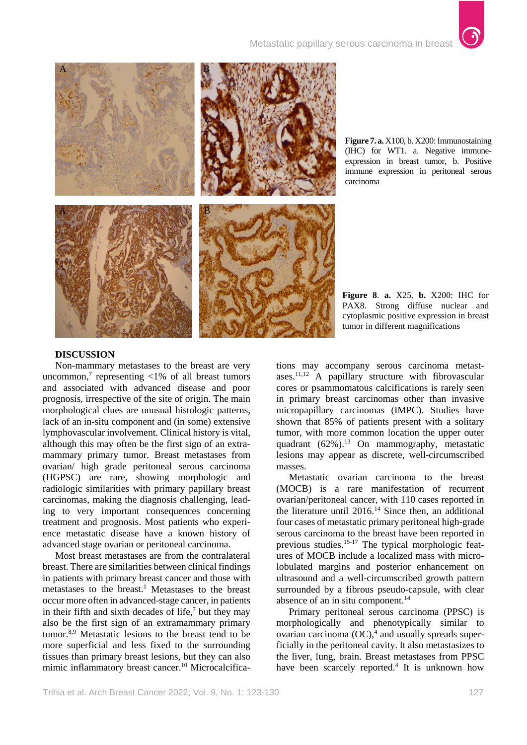

**Figure 7. a.** X100, b. X200: Immunostaining (IHC) for WT1. a. Negative immuneexpression in breast tumor, b. Positive immune expression in peritoneal serous carcinoma

## **DISCUSSION**

Non-mammary metastases to the breast are very uncommon,<sup>7</sup> representing  $\langle 1\%$  of all breast tumors and associated with advanced disease and poor prognosis, irrespective of the site of origin. The main morphological clues are unusual histologic patterns, lack of an in-situ component and (in some) extensive lymphovascular involvement. Clinical history is vital, although this may often be the first sign of an extramammary primary tumor. Breast metastases from ovarian/ high grade peritoneal serous carcinoma (HGPSC) are rare, showing morphologic and radiologic similarities with primary papillary breast carcinomas, making the diagnosis challenging, leading to very important consequences concerning treatment and prognosis. Most patients who experience metastatic disease have a known history of advanced stage ovarian or peritoneal carcinoma.

Most breast metastases are from the contralateral breast. There are similarities between clinical findings in patients with primary breast cancer and those with metastases to the breast.<sup>1</sup> Metastases to the breast occur more often in advanced-stage cancer, in patients in their fifth and sixth decades of life, $\frac{7}{1}$  but they may also be the first sign of an extramammary primary tumor.8,9 Metastatic lesions to the breast tend to be more superficial and less fixed to the surrounding tissues than primary breast lesions, but they can also mimic inflammatory breast cancer.<sup>10</sup> Microcalcifications may accompany serous carcinoma metastases.11,12 A papillary structure with fibrovascular cores or psammomatous calcifications is rarely seen in primary breast carcinomas other than invasive micropapillary carcinomas (IMPC). Studies have shown that 85% of patients present with a solitary tumor, with more common location the upper outer quadrant  $(62\%)$ .<sup>13</sup> On mammography, metastatic lesions may appear as discrete, well-circumscribed masses.

Metastatic ovarian carcinoma to the breast (MOCB) is a rare manifestation of recurrent ovarian/peritoneal cancer, with 110 cases reported in the literature until 2016.14 Since then, an additional four cases of metastatic primary peritoneal high-grade serous carcinoma to the breast have been reported in previous studies.<sup>15-17</sup> The typical morphologic features of MOCB include a localized mass with microlobulated margins and posterior enhancement on ultrasound and a well-circumscribed growth pattern surrounded by a fibrous pseudo-capsule, with clear absence of an in situ component.<sup>14</sup>

Primary peritoneal serous carcinoma (PPSC) is morphologically and phenotypically similar to ovarian carcinoma (OC), <sup>4</sup> and usually spreads superficially in the peritoneal cavity. It also metastasizes to the liver, lung, brain. Breast metastases from PPSC have been scarcely reported.<sup>4</sup> It is unknown how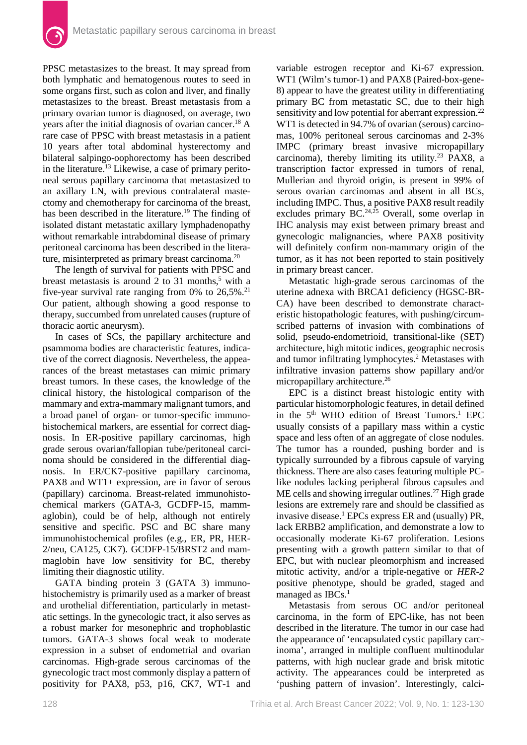PPSC metastasizes to the breast. It may spread from both lymphatic and hematogenous routes to seed in some organs first, such as colon and liver, and finally metastasizes to the breast. Breast metastasis from a primary ovarian tumor is diagnosed, on average, two years after the initial diagnosis of ovarian cancer.<sup>18</sup> A rare case of PPSC with breast metastasis in a patient 10 years after total abdominal hysterectomy and bilateral salpingo-oophorectomy has been described in the literature.<sup>13</sup> Likewise, a case of primary peritoneal serous papillary carcinoma that metastasized to an axillary LN, with previous contralateral mastectomy and chemotherapy for carcinoma of the breast, has been described in the literature.<sup>19</sup> The finding of isolated distant metastatic axillary lymphadenopathy without remarkable intrabdominal disease of primary peritoneal carcinoma has been described in the literature, misinterpreted as primary breast carcinoma.<sup>20</sup>

The length of survival for patients with PPSC and breast metastasis is around 2 to 31 months, $5$  with a five-year survival rate ranging from  $0\%$  to  $26,5\%$ .<sup>21</sup> Our patient, although showing a good response to therapy, succumbed from unrelated causes (rupture of thoracic aortic aneurysm).

In cases of SCs, the papillary architecture and psammoma bodies are characteristic features, indicative of the correct diagnosis. Nevertheless, the appearances of the breast metastases can mimic primary breast tumors. In these cases, the knowledge of the clinical history, the histological comparison of the mammary and extra-mammary malignant tumors, and a broad panel of organ- or tumor-specific immunohistochemical markers, are essential for correct diagnosis. In ER-positive papillary carcinomas, high grade serous ovarian/fallopian tube/peritoneal carcinoma should be considered in the differential diagnosis. In ER/CK7-positive papillary carcinoma, PAX8 and WT1+ expression, are in favor of serous (papillary) carcinoma. Breast-related immunohistochemical markers (GATA-3, GCDFP-15, mammaglobin), could be of help, although not entirely sensitive and specific. PSC and BC share many immunohistochemical profiles (e.g., ER, PR, HER-2/neu, CA125, CK7). GCDFP-15/BRST2 and mammaglobin have low sensitivity for BC, thereby limiting their diagnostic utility.

GATA binding protein 3 (GATA 3) immunohistochemistry is primarily used as a marker of breast and urothelial differentiation, particularly in metastatic settings. In the gynecologic tract, it also serves as a robust marker for mesonephric and trophoblastic tumors. GATA-3 shows focal weak to moderate expression in a subset of endometrial and ovarian carcinomas. High-grade serous carcinomas of the gynecologic tract most commonly display a pattern of positivity for PAX8, p53, p16, CK7, WT-1 and

variable estrogen receptor and Ki-67 expression. WT1 (Wilm's tumor-1) and PAX8 (Paired-box-gene-8) appear to have the greatest utility in differentiating primary BC from metastatic SC, due to their high sensitivity and low potential for aberrant expression.<sup>22</sup> WT1 is detected in 94.7% of ovarian (serous) carcinomas, 100% peritoneal serous carcinomas and 2-3% IMPC (primary breast invasive micropapillary carcinoma), thereby limiting its utility.<sup>23</sup> PAX8, a transcription factor expressed in tumors of renal, Mullerian and thyroid origin, is present in 99% of serous ovarian carcinomas and absent in all BCs, including IMPC. Thus, a positive PAX8 result readily excludes primary BC.<sup>24,25</sup> Overall, some overlap in IHC analysis may exist between primary breast and gynecologic malignancies, where PAX8 positivity will definitely confirm non-mammary origin of the tumor, as it has not been reported to stain positively in primary breast cancer.

Metastatic high-grade serous carcinomas of the uterine adnexa with BRCA1 deficiency (HGSC-BR-CA) have been described to demonstrate characteristic histopathologic features, with pushing/circumscribed patterns of invasion with combinations of solid, pseudo-endometrioid, transitional-like (SET) architecture, high mitotic indices, geographic necrosis and tumor infiltrating lymphocytes.<sup>2</sup> Metastases with infiltrative invasion patterns show papillary and/or micropapillary architecture.26

EPC is a distinct breast histologic entity with particular histomorphologic features, in detail defined in the 5<sup>th</sup> WHO edition of Breast Tumors.<sup>1</sup> EPC usually consists of a papillary mass within a cystic space and less often of an aggregate of close nodules. The tumor has a rounded, pushing border and is typically surrounded by a fibrous capsule of varying thickness. There are also cases featuring multiple PClike nodules lacking peripheral fibrous capsules and  $ME$  cells and showing irregular outlines.<sup>27</sup> High grade lesions are extremely rare and should be classified as invasive disease.<sup>1</sup> EPCs express ER and (usually) PR, lack ERBB2 amplification, and demonstrate a low to occasionally moderate Ki-67 proliferation. Lesions presenting with a growth pattern similar to that of EPC, but with nuclear pleomorphism and increased mitotic activity, and/or a triple-negative or *HER-2* positive phenotype, should be graded, staged and managed as IBCs.<sup>1</sup>

Metastasis from serous OC and/or peritoneal carcinoma, in the form of EPC-like, has not been described in the literature. The tumor in our case had the appearance of 'encapsulated cystic papillary carcinoma', arranged in multiple confluent multinodular patterns, with high nuclear grade and brisk mitotic activity. The appearances could be interpreted as 'pushing pattern of invasion'. Interestingly, calci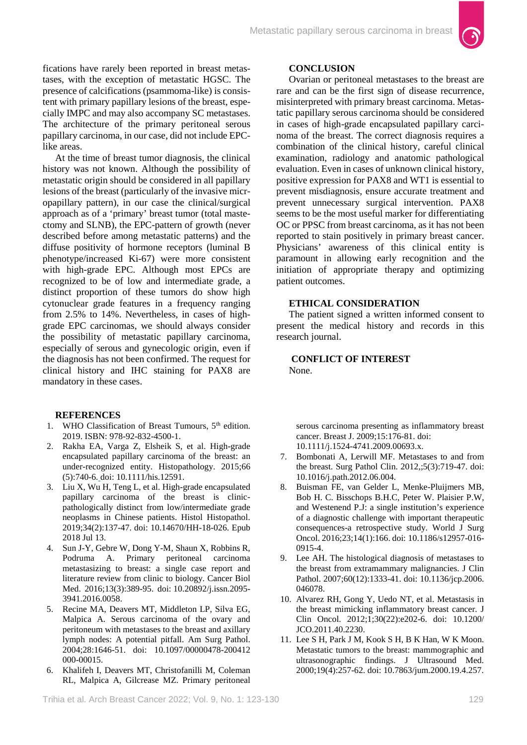fications have rarely been reported in breast metastases, with the exception of metastatic HGSC. The presence of calcifications (psammoma-like) is consistent with primary papillary lesions of the breast, especially IMPC and may also accompany SC metastases. The architecture of the primary peritoneal serous papillary carcinoma, in our case, did not include EPClike areas.

At the time of breast tumor diagnosis, the clinical history was not known. Although the possibility of metastatic origin should be considered in all papillary lesions of the breast (particularly of the invasive micropapillary pattern), in our case the clinical/surgical approach as of a 'primary' breast tumor (total mastectomy and SLNB), the EPC-pattern of growth (never described before among metastatic patterns) and the diffuse positivity of hormone receptors (luminal B phenotype/increased Ki-67) were more consistent with high-grade EPC. Although most EPCs are recognized to be of low and intermediate grade, a distinct proportion of these tumors do show high cytonuclear grade features in a frequency ranging from 2.5% to 14%. Nevertheless, in cases of highgrade EPC carcinomas, we should always consider the possibility of metastatic papillary carcinoma, especially of serous and gynecologic origin, even if the diagnosis has not been confirmed. The request for clinical history and IHC staining for PAX8 are mandatory in these cases.

## **REFERENCES**

- 1. WHO Classification of Breast Tumours, 5<sup>th</sup> edition. 2019. ISBN: 978-92-832-4500-1.
- 2. Rakha EA, Varga Z, Elsheik S, et al. High-grade encapsulated papillary carcinoma of the breast: an under-recognized entity. Histopathology. 2015;66 (5):740-6. doi: 10.1111/his.12591.
- 3. Liu X, Wu H, Teng L, et al. High-grade encapsulated papillary carcinoma of the breast is clinicpathologically distinct from low/intermediate grade neoplasms in Chinese patients. Histol Histopathol. 2019;34(2):137-47. doi: 10.14670/HH-18-026. Epub 2018 Jul 13.
- 4. Sun J-Y, Gebre W, Dong Y-M, Shaun X, Robbins R, Podruma A. Primary peritoneal carcinoma metastasizing to breast: a single case report and literature review from clinic to biology. Cancer Biol Med. 2016;13(3):389-95. doi: [10.20892/j.issn.2095-](https://dx.doi.org/10.20892%2Fj.issn.2095-3941.2016.0058) [3941.2016.0058.](https://dx.doi.org/10.20892%2Fj.issn.2095-3941.2016.0058)
- 5. Recine MA, Deavers MT, Middleton LP, Silva EG, Malpica A. Serous carcinoma of the ovary and peritoneum with metastases to the breast and axillary lymph nodes: A potential pitfall. Am Surg Pathol. 2004;28:1646-51. doi: 10.1097/00000478-200412 000-00015.
- 6. Khalifeh I, Deavers MT, Christofanilli M, Coleman RL, Malpica A, Gilcrease MZ. Primary peritoneal

# **CONCLUSION**

Ovarian or peritoneal metastases to the breast are rare and can be the first sign of disease recurrence, misinterpreted with primary breast carcinoma. Metastatic papillary serous carcinoma should be considered in cases of high-grade encapsulated papillary carcinoma of the breast. The correct diagnosis requires a combination of the clinical history, careful clinical examination, radiology and anatomic pathological evaluation. Even in cases of unknown clinical history, positive expression for PAX8 and WT1 is essential to prevent misdiagnosis, ensure accurate treatment and prevent unnecessary surgical intervention. PAX8 seems to be the most useful marker for differentiating OC or PPSC from breast carcinoma, as it has not been reported to stain positively in primary breast cancer. Physicians' awareness of this clinical entity is paramount in allowing early recognition and the initiation of appropriate therapy and optimizing patient outcomes.

#### **ETHICAL CONSIDERATION**

The patient signed a written informed consent to present the medical history and records in this research journal.

**CONFLICT OF INTEREST** None.

serous carcinoma presenting as inflammatory breast cancer. Breast J. 2009;15:176-81. doi: 10.1111/j.1524-4741.2009.00693.x.

- 7. Bombonati A, Lerwill MF. Metastases to and from the breast. Surg Pathol Clin. 2012,;5(3):719-47. doi: 10.1016/j.path.2012.06.004.
- 8. Buisman FE, van Gelder L, Menke-Pluijmers MB, [Bob H. C. Bisschops](https://www.ncbi.nlm.nih.gov/pubmed/?term=Bisschops%20BH%5BAuthor%5D&cauthor=true&cauthor_uid=27337944) B.H.C, [Peter W. Plaisier](https://www.ncbi.nlm.nih.gov/pubmed/?term=Plaisier%20PW%5BAuthor%5D&cauthor=true&cauthor_uid=27337944) P.W, and [Westenend](https://www.ncbi.nlm.nih.gov/pubmed/?term=Westenend%20PJ%5BAuthor%5D&cauthor=true&cauthor_uid=27337944) P.J: a single institution's experience of a diagnostic challenge with important therapeutic consequences-a retrospective study. World J Surg Oncol. 2016;23;14(1):166. doi: [10.1186/s12957-016-](https://dx.doi.org/10.1186%2Fs12957-016-0915-4) [0915-4.](https://dx.doi.org/10.1186%2Fs12957-016-0915-4)
- 9. Lee AH. The histological diagnosis of metastases to the breast from extramammary malignancies. J Clin Pathol. 2007;60(12):1333-41. doi: 10.1136/jcp.2006. 046078.
- 10. Alvarez RH, Gong Y, Uedo NT, et al. Metastasis in the breast mimicking inflammatory breast cancer. J Clin Oncol. 2012;1;30(22):e202-6. doi: 10.1200/ JCO.2011.40.2230.
- 11. Lee S H, Park J M, Kook S H[, B K Han,](https://pubmed.ncbi.nlm.nih.gov/?term=Han+BK&cauthor_id=10759349) [W K Moon.](https://pubmed.ncbi.nlm.nih.gov/?term=Moon+WK&cauthor_id=10759349) Metastatic tumors to the breast: mammographic and ultrasonographic findings. J Ultrasound Med. 2000;19(4):257-62. doi: 10.7863/jum.2000.19.4.257.